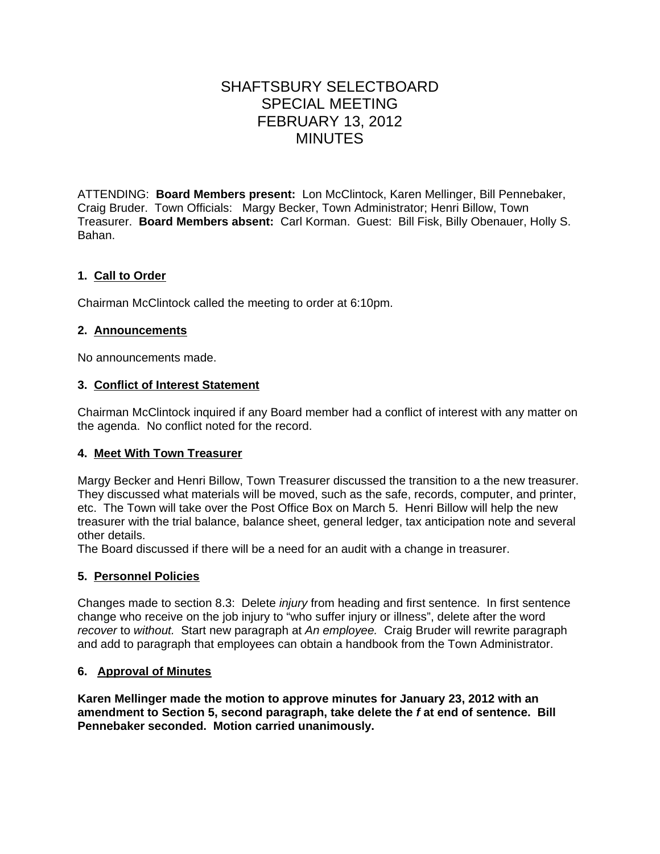# SHAFTSBURY SELECTBOARD SPECIAL MEETING FEBRUARY 13, 2012 MINUTES

ATTENDING: **Board Members present:** Lon McClintock, Karen Mellinger, Bill Pennebaker, Craig Bruder. Town Officials: Margy Becker, Town Administrator; Henri Billow, Town Treasurer. **Board Members absent:** Carl Korman. Guest: Bill Fisk, Billy Obenauer, Holly S. Bahan.

## **1. Call to Order**

Chairman McClintock called the meeting to order at 6:10pm.

### **2. Announcements**

No announcements made.

### **3. Conflict of Interest Statement**

Chairman McClintock inquired if any Board member had a conflict of interest with any matter on the agenda. No conflict noted for the record.

### **4. Meet With Town Treasurer**

Margy Becker and Henri Billow, Town Treasurer discussed the transition to a the new treasurer. They discussed what materials will be moved, such as the safe, records, computer, and printer, etc. The Town will take over the Post Office Box on March 5. Henri Billow will help the new treasurer with the trial balance, balance sheet, general ledger, tax anticipation note and several other details.

The Board discussed if there will be a need for an audit with a change in treasurer.

### **5. Personnel Policies**

Changes made to section 8.3: Delete *injury* from heading and first sentence. In first sentence change who receive on the job injury to "who suffer injury or illness", delete after the word *recover* to *without.* Start new paragraph at *An employee.* Craig Bruder will rewrite paragraph and add to paragraph that employees can obtain a handbook from the Town Administrator.

### **6. Approval of Minutes**

**Karen Mellinger made the motion to approve minutes for January 23, 2012 with an amendment to Section 5, second paragraph, take delete the** *f* **at end of sentence. Bill Pennebaker seconded. Motion carried unanimously.**